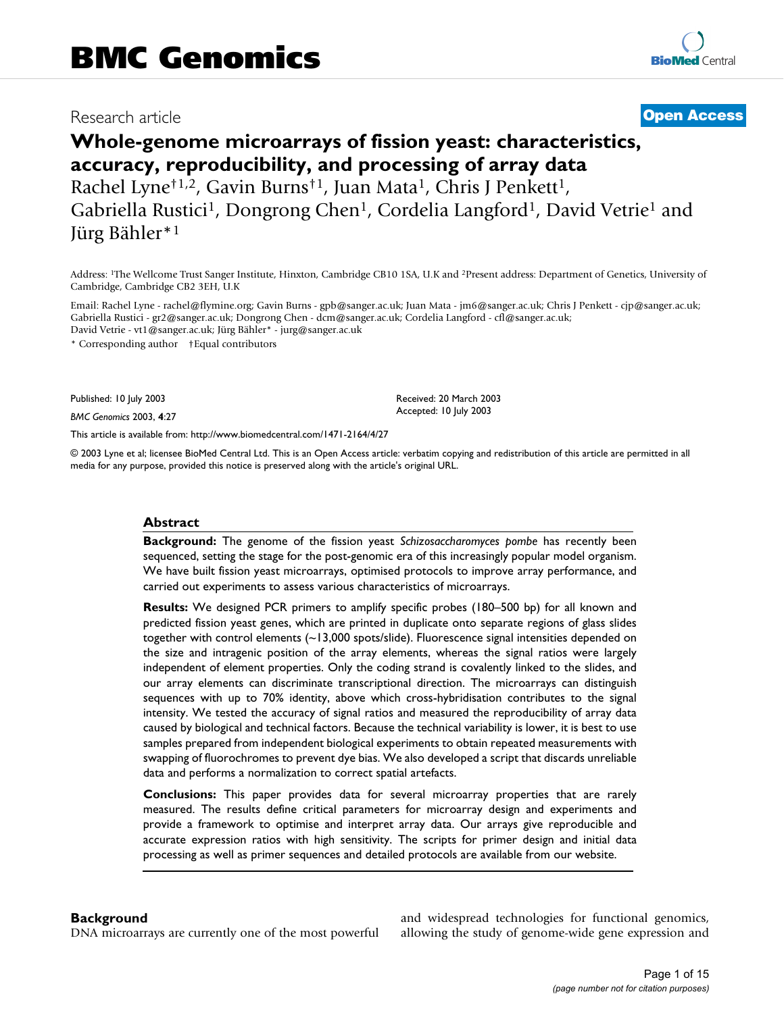# Research article **[Open Access](http://www.biomedcentral.com/info/about/charter/)**

# **Whole-genome microarrays of fission yeast: characteristics, accuracy, reproducibility, and processing of array data** Rachel Lyne<sup>†1,2</sup>, Gavin Burns<sup>†1</sup>, Juan Mata<sup>1</sup>, Chris J Penkett<sup>1</sup>, Gabriella Rustici<sup>1</sup>, Dongrong Chen<sup>1</sup>, Cordelia Langford<sup>1</sup>, David Vetrie<sup>1</sup> and Jürg Bähler\*1

Address: 1The Wellcome Trust Sanger Institute, Hinxton, Cambridge CB10 1SA, U.K and 2Present address: Department of Genetics, University of Cambridge, Cambridge CB2 3EH, U.K

Email: Rachel Lyne - rachel@flymine.org; Gavin Burns - gpb@sanger.ac.uk; Juan Mata - jm6@sanger.ac.uk; Chris J Penkett - cjp@sanger.ac.uk; Gabriella Rustici - gr2@sanger.ac.uk; Dongrong Chen - dcm@sanger.ac.uk; Cordelia Langford - cfl@sanger.ac.uk; David Vetrie - vt1@sanger.ac.uk; Jürg Bähler\* - jurg@sanger.ac.uk

> Received: 20 March 2003 Accepted: 10 July 2003

\* Corresponding author †Equal contributors

Published: 10 July 2003

*BMC Genomics* 2003, **4**:27

[This article is available from: http://www.biomedcentral.com/1471-2164/4/27](http://www.biomedcentral.com/1471-2164/4/27)

© 2003 Lyne et al; licensee BioMed Central Ltd. This is an Open Access article: verbatim copying and redistribution of this article are permitted in all media for any purpose, provided this notice is preserved along with the article's original URL.

#### **Abstract**

**Background:** The genome of the fission yeast *Schizosaccharomyces pombe* has recently been sequenced, setting the stage for the post-genomic era of this increasingly popular model organism. We have built fission yeast microarrays, optimised protocols to improve array performance, and carried out experiments to assess various characteristics of microarrays.

**Results:** We designed PCR primers to amplify specific probes (180–500 bp) for all known and predicted fission yeast genes, which are printed in duplicate onto separate regions of glass slides together with control elements (~13,000 spots/slide). Fluorescence signal intensities depended on the size and intragenic position of the array elements, whereas the signal ratios were largely independent of element properties. Only the coding strand is covalently linked to the slides, and our array elements can discriminate transcriptional direction. The microarrays can distinguish sequences with up to 70% identity, above which cross-hybridisation contributes to the signal intensity. We tested the accuracy of signal ratios and measured the reproducibility of array data caused by biological and technical factors. Because the technical variability is lower, it is best to use samples prepared from independent biological experiments to obtain repeated measurements with swapping of fluorochromes to prevent dye bias. We also developed a script that discards unreliable data and performs a normalization to correct spatial artefacts.

**Conclusions:** This paper provides data for several microarray properties that are rarely measured. The results define critical parameters for microarray design and experiments and provide a framework to optimise and interpret array data. Our arrays give reproducible and accurate expression ratios with high sensitivity. The scripts for primer design and initial data processing as well as primer sequences and detailed protocols are available from our website.

#### **Background**

DNA microarrays are currently one of the most powerful

and widespread technologies for functional genomics, allowing the study of genome-wide gene expression and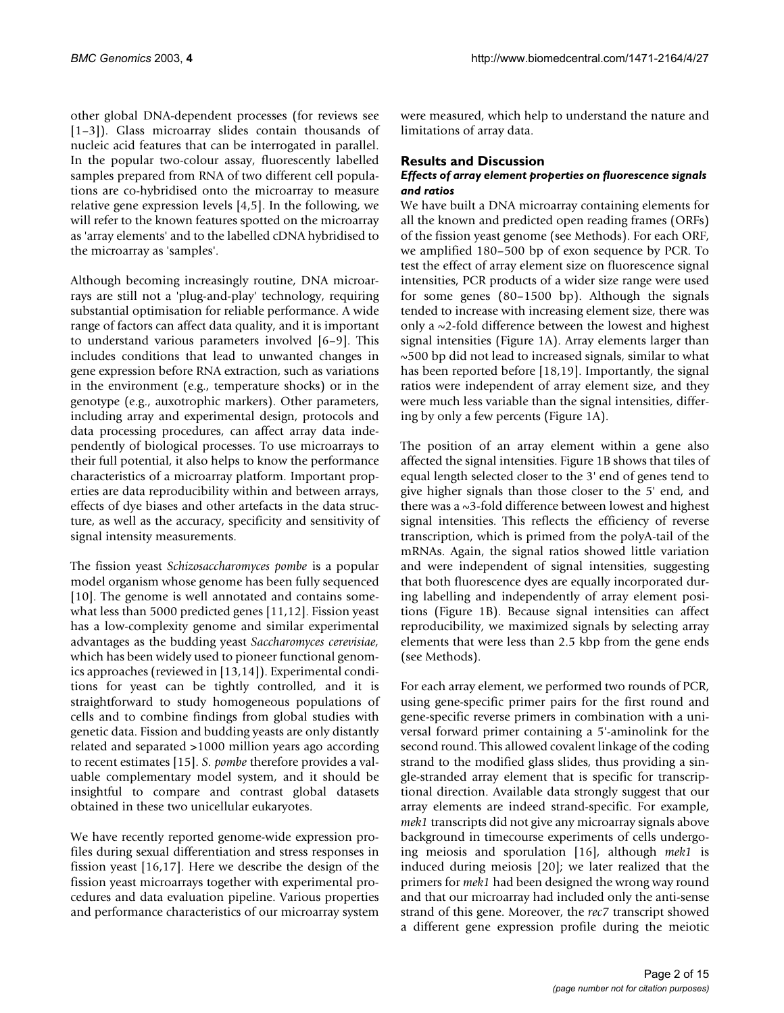other global DNA-dependent processes (for reviews see [1–3]). Glass microarray slides contain thousands of nucleic acid features that can be interrogated in parallel. In the popular two-colour assay, fluorescently labelled samples prepared from RNA of two different cell populations are co-hybridised onto the microarray to measure relative gene expression levels [4,5]. In the following, we will refer to the known features spotted on the microarray as 'array elements' and to the labelled cDNA hybridised to the microarray as 'samples'.

Although becoming increasingly routine, DNA microarrays are still not a 'plug-and-play' technology, requiring substantial optimisation for reliable performance. A wide range of factors can affect data quality, and it is important to understand various parameters involved [6–9]. This includes conditions that lead to unwanted changes in gene expression before RNA extraction, such as variations in the environment (e.g., temperature shocks) or in the genotype (e.g., auxotrophic markers). Other parameters, including array and experimental design, protocols and data processing procedures, can affect array data independently of biological processes. To use microarrays to their full potential, it also helps to know the performance characteristics of a microarray platform. Important properties are data reproducibility within and between arrays, effects of dye biases and other artefacts in the data structure, as well as the accuracy, specificity and sensitivity of signal intensity measurements.

The fission yeast *Schizosaccharomyces pombe* is a popular model organism whose genome has been fully sequenced [10]. The genome is well annotated and contains somewhat less than 5000 predicted genes [11,12]. Fission yeast has a low-complexity genome and similar experimental advantages as the budding yeast *Saccharomyces cerevisiae,* which has been widely used to pioneer functional genomics approaches (reviewed in [13,14]). Experimental conditions for yeast can be tightly controlled, and it is straightforward to study homogeneous populations of cells and to combine findings from global studies with genetic data. Fission and budding yeasts are only distantly related and separated >1000 million years ago according to recent estimates [15]. *S. pombe* therefore provides a valuable complementary model system, and it should be insightful to compare and contrast global datasets obtained in these two unicellular eukaryotes.

We have recently reported genome-wide expression profiles during sexual differentiation and stress responses in fission yeast [16,17]. Here we describe the design of the fission yeast microarrays together with experimental procedures and data evaluation pipeline. Various properties and performance characteristics of our microarray system

were measured, which help to understand the nature and limitations of array data.

# **Results and Discussion**

#### *Effects of array element properties on fluorescence signals and ratios*

We have built a DNA microarray containing elements for all the known and predicted open reading frames (ORFs) of the fission yeast genome (see Methods). For each ORF, we amplified 180–500 bp of exon sequence by PCR. To test the effect of array element size on fluorescence signal intensities, PCR products of a wider size range were used for some genes (80–1500 bp). Although the signals tended to increase with increasing element size, there was only a ~2-fold difference between the lowest and highest signal intensities (Figure [1A](#page-2-0)). Array elements larger than  $\sim$  500 bp did not lead to increased signals, similar to what has been reported before [18,19]. Importantly, the signal ratios were independent of array element size, and they were much less variable than the signal intensities, differing by only a few percents (Figure [1A](#page-2-0)).

The position of an array element within a gene also affected the signal intensities. Figure [1](#page-2-0)B shows that tiles of equal length selected closer to the 3' end of genes tend to give higher signals than those closer to the 5' end, and there was a ~3-fold difference between lowest and highest signal intensities. This reflects the efficiency of reverse transcription, which is primed from the polyA-tail of the mRNAs. Again, the signal ratios showed little variation and were independent of signal intensities, suggesting that both fluorescence dyes are equally incorporated during labelling and independently of array element positions (Figure [1](#page-2-0)B). Because signal intensities can affect reproducibility, we maximized signals by selecting array elements that were less than 2.5 kbp from the gene ends (see Methods).

For each array element, we performed two rounds of PCR, using gene-specific primer pairs for the first round and gene-specific reverse primers in combination with a universal forward primer containing a 5'-aminolink for the second round. This allowed covalent linkage of the coding strand to the modified glass slides, thus providing a single-stranded array element that is specific for transcriptional direction. Available data strongly suggest that our array elements are indeed strand-specific. For example, *mek1* transcripts did not give any microarray signals above background in timecourse experiments of cells undergoing meiosis and sporulation [16], although *mek1* is induced during meiosis [20]; we later realized that the primers for *mek1* had been designed the wrong way round and that our microarray had included only the anti-sense strand of this gene. Moreover, the *rec7* transcript showed a different gene expression profile during the meiotic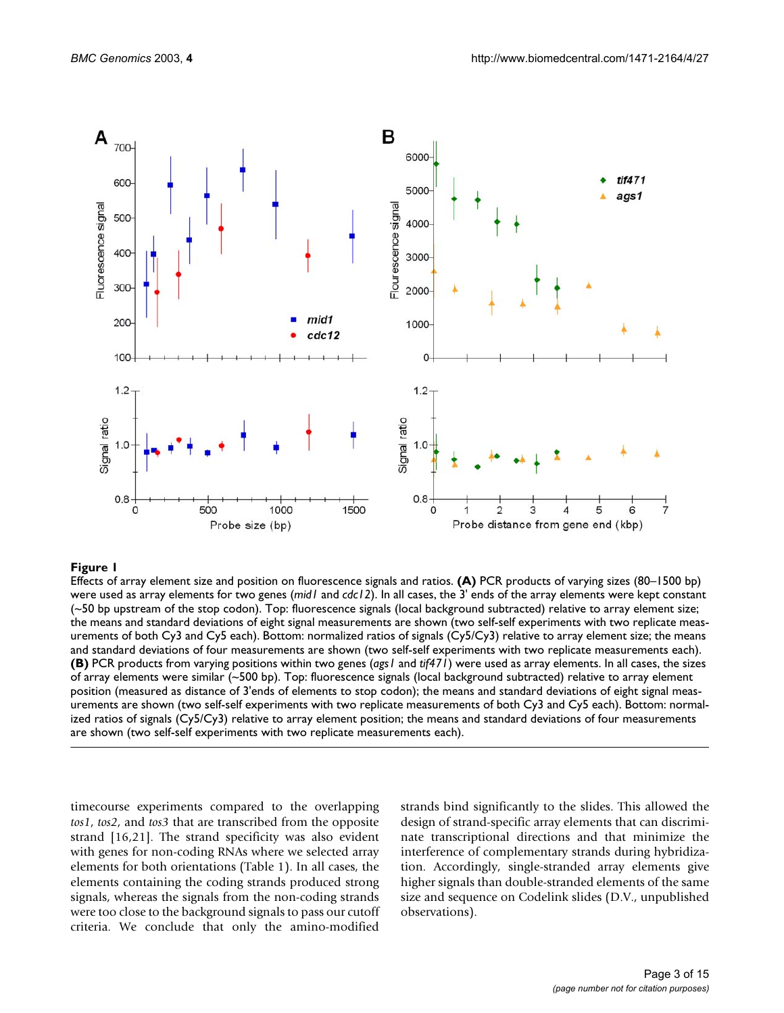<span id="page-2-0"></span>

#### Effects of array element size and positi **Figure 1** on on fluorescence signals and ratios

Effects of array element size and position on fluorescence signals and ratios. **(A)** PCR products of varying sizes (80–1500 bp) were used as array elements for two genes (*mid1* and *cdc12*). In all cases, the 3' ends of the array elements were kept constant (~50 bp upstream of the stop codon). Top: fluorescence signals (local background subtracted) relative to array element size; the means and standard deviations of eight signal measurements are shown (two self-self experiments with two replicate measurements of both Cy3 and Cy5 each). Bottom: normalized ratios of signals (Cy5/Cy3) relative to array element size; the means and standard deviations of four measurements are shown (two self-self experiments with two replicate measurements each). **(B)** PCR products from varying positions within two genes (*ags1* and *tif471*) were used as array elements. In all cases, the sizes of array elements were similar (~500 bp). Top: fluorescence signals (local background subtracted) relative to array element position (measured as distance of 3'ends of elements to stop codon); the means and standard deviations of eight signal measurements are shown (two self-self experiments with two replicate measurements of both Cy3 and Cy5 each). Bottom: normalized ratios of signals (Cy5/Cy3) relative to array element position; the means and standard deviations of four measurements are shown (two self-self experiments with two replicate measurements each).

timecourse experiments compared to the overlapping *tos1*, *tos2*, and *tos3* that are transcribed from the opposite strand [16,21]. The strand specificity was also evident with genes for non-coding RNAs where we selected array elements for both orientations (Table [1](#page-3-0)). In all cases, the elements containing the coding strands produced strong signals, whereas the signals from the non-coding strands were too close to the background signals to pass our cutoff criteria. We conclude that only the amino-modified

strands bind significantly to the slides. This allowed the design of strand-specific array elements that can discriminate transcriptional directions and that minimize the interference of complementary strands during hybridization. Accordingly, single-stranded array elements give higher signals than double-stranded elements of the same size and sequence on Codelink slides (D.V., unpublished observations).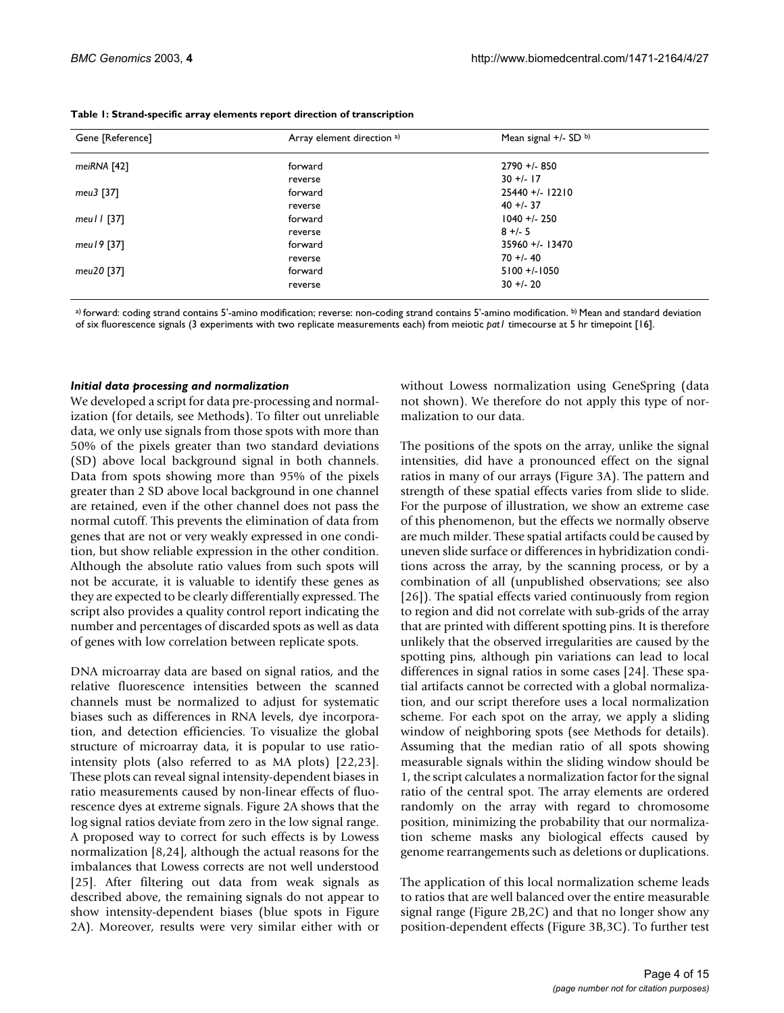| Gene [Reference] | Array element direction <sup>a)</sup> | Mean signal $+/-$ SD $^{b)}$ |  |
|------------------|---------------------------------------|------------------------------|--|
| meiRNA [42]      | forward                               | $2790 + 1.850$               |  |
|                  | reverse                               | $30 +/- 17$                  |  |
| meu $3$ [37]     | forward                               | $25440 + (-12210$            |  |
|                  | reverse                               | $40 + 37$                    |  |
| meul $ $ [37]    | forward                               | $1040 + 250$                 |  |
|                  | reverse                               | $8 +/- 5$                    |  |
| meu $19$ [37]    | forward                               | $35960 +/- 13470$            |  |
|                  | reverse                               | $70 + 40$                    |  |
| meu20 [37]       | forward                               | $5100 + (-1050$              |  |
|                  | reverse                               | $30 + 20$                    |  |

<span id="page-3-0"></span>

a) forward: coding strand contains 5'-amino modification; reverse: non-coding strand contains 5'-amino modification. b) Mean and standard deviation of six fluorescence signals (3 experiments with two replicate measurements each) from meiotic *pat1* timecourse at 5 hr timepoint [16].

#### *Initial data processing and normalization*

We developed a script for data pre-processing and normalization (for details, see Methods). To filter out unreliable data, we only use signals from those spots with more than 50% of the pixels greater than two standard deviations (SD) above local background signal in both channels. Data from spots showing more than 95% of the pixels greater than 2 SD above local background in one channel are retained, even if the other channel does not pass the normal cutoff. This prevents the elimination of data from genes that are not or very weakly expressed in one condition, but show reliable expression in the other condition. Although the absolute ratio values from such spots will not be accurate, it is valuable to identify these genes as they are expected to be clearly differentially expressed. The script also provides a quality control report indicating the number and percentages of discarded spots as well as data of genes with low correlation between replicate spots.

DNA microarray data are based on signal ratios, and the relative fluorescence intensities between the scanned channels must be normalized to adjust for systematic biases such as differences in RNA levels, dye incorporation, and detection efficiencies. To visualize the global structure of microarray data, it is popular to use ratiointensity plots (also referred to as MA plots) [22,23]. These plots can reveal signal intensity-dependent biases in ratio measurements caused by non-linear effects of fluorescence dyes at extreme signals. Figure [2](#page-4-0)A shows that the log signal ratios deviate from zero in the low signal range. A proposed way to correct for such effects is by Lowess normalization [8,24], although the actual reasons for the imbalances that Lowess corrects are not well understood [25]. After filtering out data from weak signals as described above, the remaining signals do not appear to show intensity-dependent biases (blue spots in Figure [2A](#page-4-0)). Moreover, results were very similar either with or

without Lowess normalization using GeneSpring (data not shown). We therefore do not apply this type of normalization to our data.

The positions of the spots on the array, unlike the signal intensities, did have a pronounced effect on the signal ratios in many of our arrays (Figure [3](#page-5-0)A). The pattern and strength of these spatial effects varies from slide to slide. For the purpose of illustration, we show an extreme case of this phenomenon, but the effects we normally observe are much milder. These spatial artifacts could be caused by uneven slide surface or differences in hybridization conditions across the array, by the scanning process, or by a combination of all (unpublished observations; see also [26]). The spatial effects varied continuously from region to region and did not correlate with sub-grids of the array that are printed with different spotting pins. It is therefore unlikely that the observed irregularities are caused by the spotting pins, although pin variations can lead to local differences in signal ratios in some cases [24]. These spatial artifacts cannot be corrected with a global normalization, and our script therefore uses a local normalization scheme. For each spot on the array, we apply a sliding window of neighboring spots (see Methods for details). Assuming that the median ratio of all spots showing measurable signals within the sliding window should be 1, the script calculates a normalization factor for the signal ratio of the central spot. The array elements are ordered randomly on the array with regard to chromosome position, minimizing the probability that our normalization scheme masks any biological effects caused by genome rearrangements such as deletions or duplications.

The application of this local normalization scheme leads to ratios that are well balanced over the entire measurable signal range (Figure [2B](#page-4-0),2C) and that no longer show any position-dependent effects (Figure [3](#page-5-0)B,3C). To further test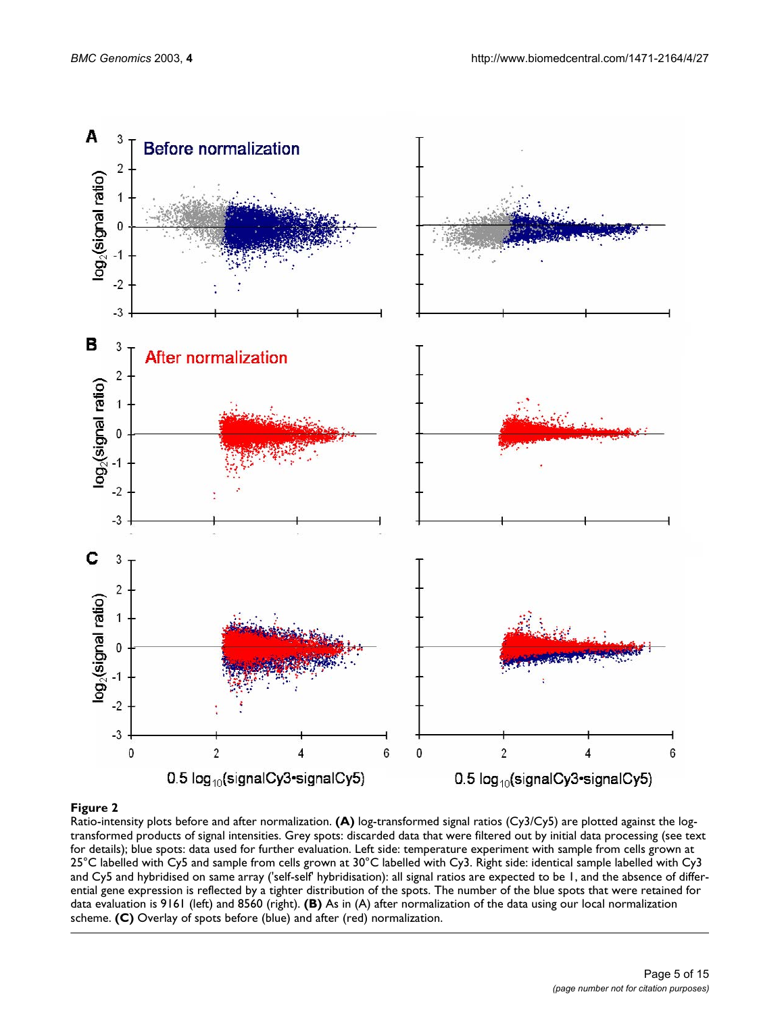<span id="page-4-0"></span>

Ratio-intensity plots before and after normalization. **(A)** log-transformed signal ratios (Cy3/Cy5) are plotted against the logtransformed products of signal intensities. Grey spots: discarded data that were filtered out by initial data processing (see text for details); blue spots: data used for further evaluation. Left side: temperature experiment with sample from cells grown at 25°C labelled with Cy5 and sample from cells grown at 30°C labelled with Cy3. Right side: identical sample labelled with Cy3 and Cy5 and hybridised on same array ('self-self' hybridisation): all signal ratios are expected to be 1, and the absence of differential gene expression is reflected by a tighter distribution of the spots. The number of the blue spots that were retained for data evaluation is 9161 (left) and 8560 (right). **(B)** As in (A) after normalization of the data using our local normalization scheme. **(C)** Overlay of spots before (blue) and after (red) normalization.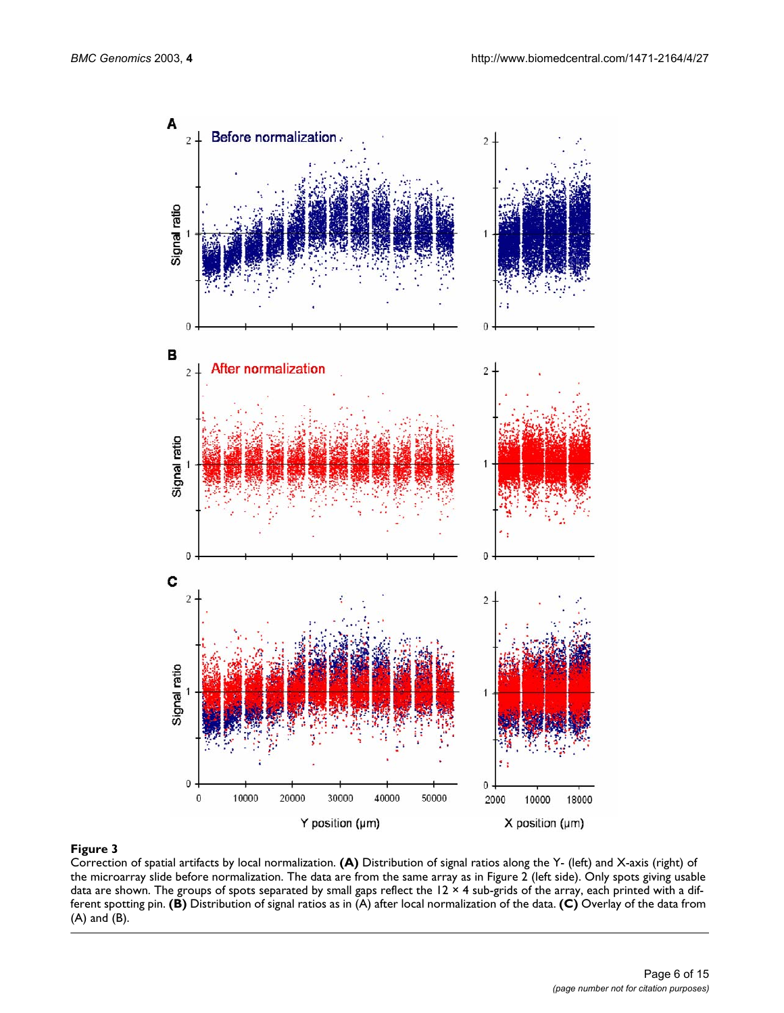<span id="page-5-0"></span>

Correction of spatial artifacts by local normalization. **(A)** Distribution of signal ratios along the Y- (left) and X-axis (right) of the microarray slide before normalization. The data are from the same array as in Figure [2](#page-4-0) (left side). Only spots giving usable data are shown. The groups of spots separated by small gaps reflect the 12 × 4 sub-grids of the array, each printed with a different spotting pin. **(B)** Distribution of signal ratios as in (A) after local normalization of the data. **(C)** Overlay of the data from (A) and (B).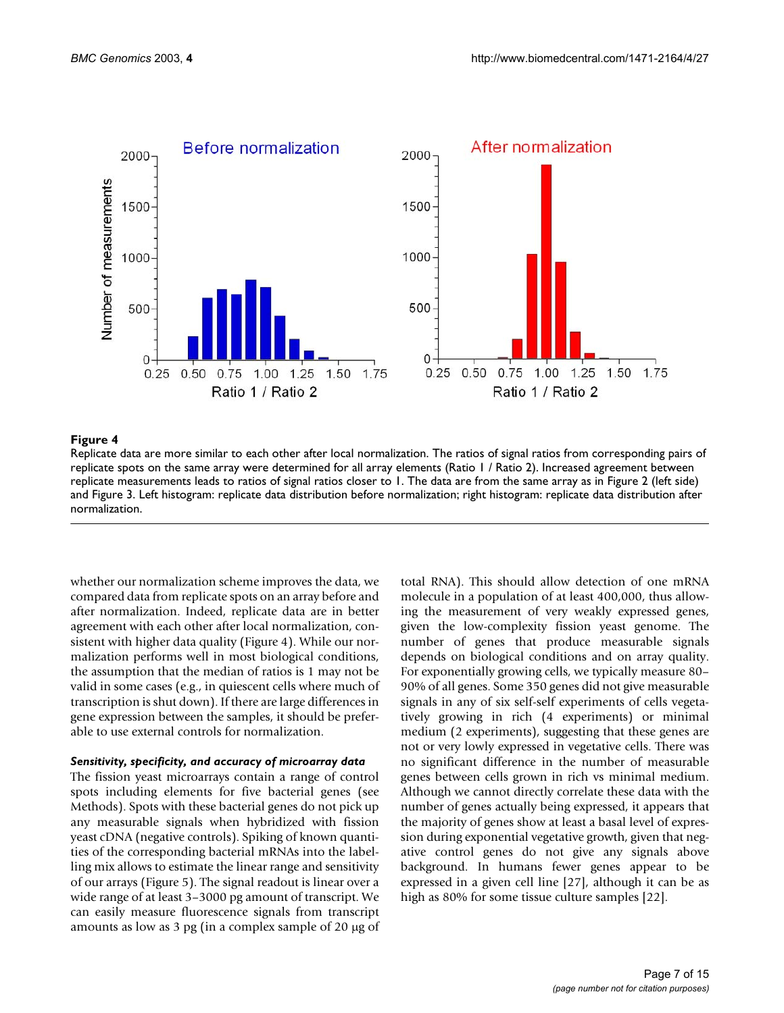

Replicate data are more similar to each other after local normalization. The ratios of signal ratios from corresponding pairs of replicate spots on the same array were determined for all array elements (Ratio 1 / Ratio 2). Increased agreement between replicate measurements leads to ratios of signal ratios closer to 1. The data are from the same array as in Figure [2](#page-4-0) (left side) and Figure [3.](#page-5-0) Left histogram: replicate data distribution before normalization; right histogram: replicate data distribution after normalization.

whether our normalization scheme improves the data, we compared data from replicate spots on an array before and after normalization. Indeed, replicate data are in better agreement with each other after local normalization, consistent with higher data quality (Figure 4). While our normalization performs well in most biological conditions, the assumption that the median of ratios is 1 may not be valid in some cases (e.g., in quiescent cells where much of transcription is shut down). If there are large differences in gene expression between the samples, it should be preferable to use external controls for normalization.

#### *Sensitivity, specificity, and accuracy of microarray data*

The fission yeast microarrays contain a range of control spots including elements for five bacterial genes (see Methods). Spots with these bacterial genes do not pick up any measurable signals when hybridized with fission yeast cDNA (negative controls). Spiking of known quantities of the corresponding bacterial mRNAs into the labelling mix allows to estimate the linear range and sensitivity of our arrays (Figure 5). The signal readout is linear over a wide range of at least 3–3000 pg amount of transcript. We can easily measure fluorescence signals from transcript amounts as low as 3 pg (in a complex sample of 20 µg of total RNA). This should allow detection of one mRNA molecule in a population of at least 400,000, thus allowing the measurement of very weakly expressed genes, given the low-complexity fission yeast genome. The number of genes that produce measurable signals depends on biological conditions and on array quality. For exponentially growing cells, we typically measure 80– 90% of all genes. Some 350 genes did not give measurable signals in any of six self-self experiments of cells vegetatively growing in rich (4 experiments) or minimal medium (2 experiments), suggesting that these genes are not or very lowly expressed in vegetative cells. There was no significant difference in the number of measurable genes between cells grown in rich vs minimal medium. Although we cannot directly correlate these data with the number of genes actually being expressed, it appears that the majority of genes show at least a basal level of expression during exponential vegetative growth, given that negative control genes do not give any signals above background. In humans fewer genes appear to be expressed in a given cell line [27], although it can be as high as 80% for some tissue culture samples [22].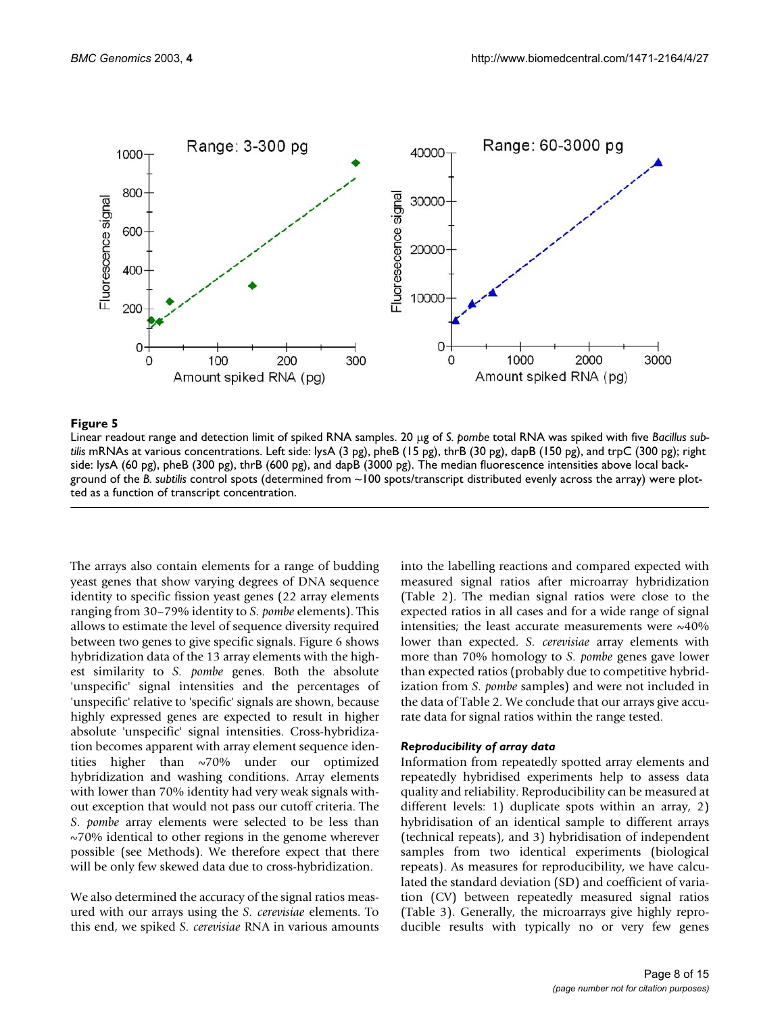

Linear readout range and detection limit of spiked RNA samples. 20 µg of *S. pombe* total RNA was spiked with five *Bacillus subtilis* mRNAs at various concentrations. Left side: lysA (3 pg), pheB (15 pg), thrB (30 pg), dapB (150 pg), and trpC (300 pg); right side: lysA (60 pg), pheB (300 pg), thrB (600 pg), and dapB (3000 pg). The median fluorescence intensities above local background of the *B. subtilis* control spots (determined from ~100 spots/transcript distributed evenly across the array) were plotted as a function of transcript concentration.

The arrays also contain elements for a range of budding yeast genes that show varying degrees of DNA sequence identity to specific fission yeast genes (22 array elements ranging from 30–79% identity to *S. pombe* elements). This allows to estimate the level of sequence diversity required between two genes to give specific signals. Figure [6](#page-8-0) shows hybridization data of the 13 array elements with the highest similarity to *S. pombe* genes. Both the absolute 'unspecific' signal intensities and the percentages of 'unspecific' relative to 'specific' signals are shown, because highly expressed genes are expected to result in higher absolute 'unspecific' signal intensities. Cross-hybridization becomes apparent with array element sequence identities higher than ~70% under our optimized hybridization and washing conditions. Array elements with lower than 70% identity had very weak signals without exception that would not pass our cutoff criteria. The *S. pombe* array elements were selected to be less than  $\sim$ 70% identical to other regions in the genome wherever possible (see Methods). We therefore expect that there will be only few skewed data due to cross-hybridization.

We also determined the accuracy of the signal ratios measured with our arrays using the *S. cerevisiae* elements. To this end, we spiked *S. cerevisiae* RNA in various amounts

into the labelling reactions and compared expected with measured signal ratios after microarray hybridization (Table [2](#page-8-1)). The median signal ratios were close to the expected ratios in all cases and for a wide range of signal intensities; the least accurate measurements were  $~40\%$ lower than expected. *S. cerevisiae* array elements with more than 70% homology to *S. pombe* genes gave lower than expected ratios (probably due to competitive hybridization from *S. pombe* samples) and were not included in the data of Table [2](#page-8-1). We conclude that our arrays give accurate data for signal ratios within the range tested.

#### *Reproducibility of array data*

Information from repeatedly spotted array elements and repeatedly hybridised experiments help to assess data quality and reliability. Reproducibility can be measured at different levels: 1) duplicate spots within an array, 2) hybridisation of an identical sample to different arrays (technical repeats), and 3) hybridisation of independent samples from two identical experiments (biological repeats). As measures for reproducibility, we have calculated the standard deviation (SD) and coefficient of variation (CV) between repeatedly measured signal ratios (Table [3](#page-9-0)). Generally, the microarrays give highly reproducible results with typically no or very few genes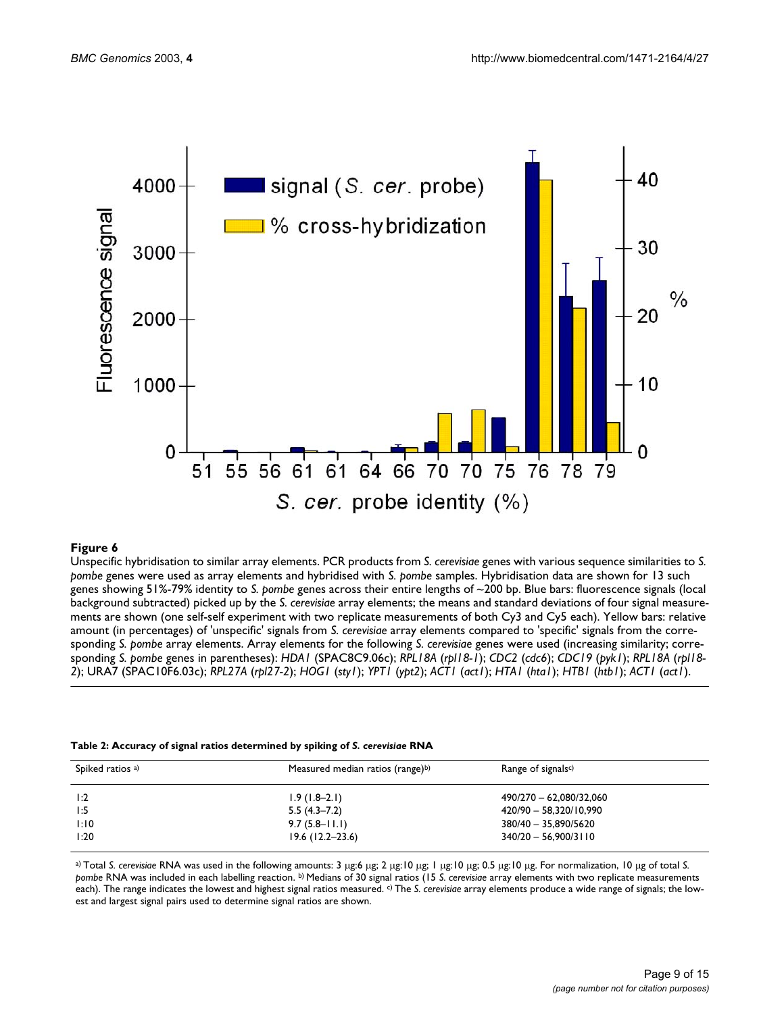<span id="page-8-0"></span>

Unspecific hybridisation to similar array elements. PCR products from *S. cerevisiae* genes with various sequence similarities to *S. pombe* genes were used as array elements and hybridised with *S. pombe* samples. Hybridisation data are shown for 13 such genes showing 51%-79% identity to *S. pombe* genes across their entire lengths of ~200 bp. Blue bars: fluorescence signals (local background subtracted) picked up by the *S. cerevisiae* array elements; the means and standard deviations of four signal measurements are shown (one self-self experiment with two replicate measurements of both Cy3 and Cy5 each). Yellow bars: relative amount (in percentages) of 'unspecific' signals from *S. cerevisiae* array elements compared to 'specific' signals from the corresponding *S. pombe* array elements. Array elements for the following *S. cerevisiae* genes were used (increasing similarity; corresponding *S. pombe* genes in parentheses): *HDA1* (SPAC8C9.06c); *RPL18A* (*rpl18-1*); *CDC2* (*cdc6*); *CDC19* (*pyk1*); *RPL18A* (*rpl18-* 2); URA7 (SPAC10F6.03c); RPL27A (rpl27-2); HOGI (styl); YPTI (ypt2); ACTI (actI); HTAI (htal); HTBI (htbl); ACTI (actI).

#### <span id="page-8-1"></span>**Table 2: Accuracy of signal ratios determined by spiking of** *S. cerevisiae* **RNA**

| Spiked ratios <sup>a)</sup> | Measured median ratios (range) <sup>b)</sup> | Range of signals <sup>c)</sup> |
|-----------------------------|----------------------------------------------|--------------------------------|
| 1:2                         | $1.9(1.8-2.1)$                               | 490/270 - 62,080/32,060        |
| 1:5                         | $5.5(4.3 - 7.2)$                             | 420/90 - 58,320/10,990         |
| 1:10                        | $9.7(5.8-11.1)$                              | 380/40 - 35,890/5620           |
| 1:20                        | $19.6(12.2-23.6)$                            | $340/20 - 56,900/3110$         |

a) Total S. cerevisiae RNA was used in the following amounts: 3 μg:6 μg; 2 μg:10 μg; 1 μg:10 μg; 0.5 μg:10 μg. For normalization, 10 μg of total S. *pombe* RNA was included in each labelling reaction. b) Medians of 30 signal ratios (15 *S. cerevisiae* array elements with two replicate measurements each). The range indicates the lowest and highest signal ratios measured. <sup>c)</sup> The *S. cerevisiae* array elements produce a wide range of signals; the lowest and largest signal pairs used to determine signal ratios are shown.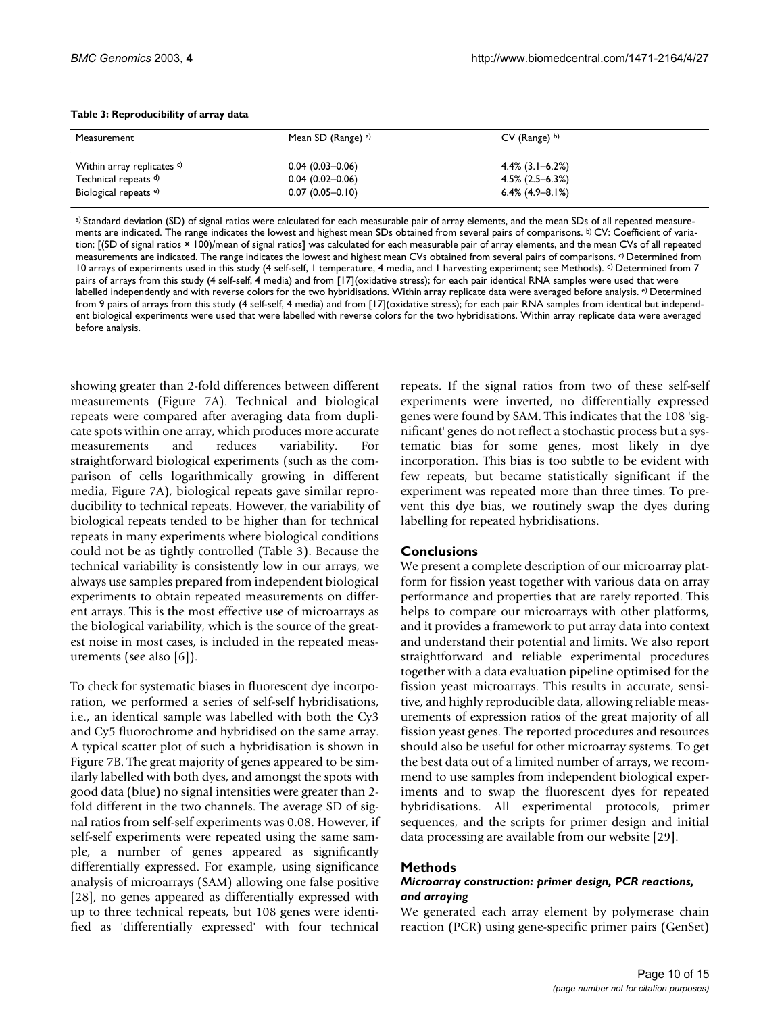<span id="page-9-0"></span>

| Table 3: Reproducibility of array data |  |
|----------------------------------------|--|
|----------------------------------------|--|

| Measurement                      | Mean SD (Range) a) | $CV$ (Range) b)    |
|----------------------------------|--------------------|--------------------|
| Within array replicates c)       | $0.04(0.03-0.06)$  | $4.4\%$ (3.1–6.2%) |
| Technical repeats d)             | $0.04(0.02-0.06)$  | $4.5\%$ (2.5–6.3%) |
| Biological repeats <sup>e)</sup> | $0.07(0.05-0.10)$  | $6.4\%$ (4.9–8.1%) |

a) Standard deviation (SD) of signal ratios were calculated for each measurable pair of array elements, and the mean SDs of all repeated measurements are indicated. The range indicates the lowest and highest mean SDs obtained from several pairs of comparisons. b) CV: Coefficient of variation: [(SD of signal ratios × 100)/mean of signal ratios] was calculated for each measurable pair of array elements, and the mean CVs of all repeated measurements are indicated. The range indicates the lowest and highest mean CVs obtained from several pairs of comparisons. <sup>c)</sup> Determined from 10 arrays of experiments used in this study (4 self-self, 1 temperature, 4 media, and 1 harvesting experiment; see Methods). d) Determined from 7 pairs of arrays from this study (4 self-self, 4 media) and from [17](oxidative stress); for each pair identical RNA samples were used that were labelled independently and with reverse colors for the two hybridisations. Within array replicate data were averaged before analysis. e) Determined from 9 pairs of arrays from this study (4 self-self, 4 media) and from [17](oxidative stress); for each pair RNA samples from identical but independent biological experiments were used that were labelled with reverse colors for the two hybridisations. Within array replicate data were averaged before analysis.

showing greater than 2-fold differences between different measurements (Figure 7A). Technical and biological repeats were compared after averaging data from duplicate spots within one array, which produces more accurate measurements and reduces variability. For straightforward biological experiments (such as the comparison of cells logarithmically growing in different media, Figure 7A), biological repeats gave similar reproducibility to technical repeats. However, the variability of biological repeats tended to be higher than for technical repeats in many experiments where biological conditions could not be as tightly controlled (Table [3\)](#page-9-0). Because the technical variability is consistently low in our arrays, we always use samples prepared from independent biological experiments to obtain repeated measurements on different arrays. This is the most effective use of microarrays as the biological variability, which is the source of the greatest noise in most cases, is included in the repeated measurements (see also [6]).

To check for systematic biases in fluorescent dye incorporation, we performed a series of self-self hybridisations, i.e., an identical sample was labelled with both the Cy3 and Cy5 fluorochrome and hybridised on the same array. A typical scatter plot of such a hybridisation is shown in Figure 7B. The great majority of genes appeared to be similarly labelled with both dyes, and amongst the spots with good data (blue) no signal intensities were greater than 2 fold different in the two channels. The average SD of signal ratios from self-self experiments was 0.08. However, if self-self experiments were repeated using the same sample, a number of genes appeared as significantly differentially expressed. For example, using significance analysis of microarrays (SAM) allowing one false positive [28], no genes appeared as differentially expressed with up to three technical repeats, but 108 genes were identified as 'differentially expressed' with four technical

repeats. If the signal ratios from two of these self-self experiments were inverted, no differentially expressed genes were found by SAM. This indicates that the 108 'significant' genes do not reflect a stochastic process but a systematic bias for some genes, most likely in dye incorporation. This bias is too subtle to be evident with few repeats, but became statistically significant if the experiment was repeated more than three times. To prevent this dye bias, we routinely swap the dyes during labelling for repeated hybridisations.

#### **Conclusions**

We present a complete description of our microarray platform for fission yeast together with various data on array performance and properties that are rarely reported. This helps to compare our microarrays with other platforms, and it provides a framework to put array data into context and understand their potential and limits. We also report straightforward and reliable experimental procedures together with a data evaluation pipeline optimised for the fission yeast microarrays. This results in accurate, sensitive, and highly reproducible data, allowing reliable measurements of expression ratios of the great majority of all fission yeast genes. The reported procedures and resources should also be useful for other microarray systems. To get the best data out of a limited number of arrays, we recommend to use samples from independent biological experiments and to swap the fluorescent dyes for repeated hybridisations. All experimental protocols, primer sequences, and the scripts for primer design and initial data processing are available from our website [29].

#### **Methods**

### *Microarray construction: primer design, PCR reactions, and arraying*

We generated each array element by polymerase chain reaction (PCR) using gene-specific primer pairs (GenSet)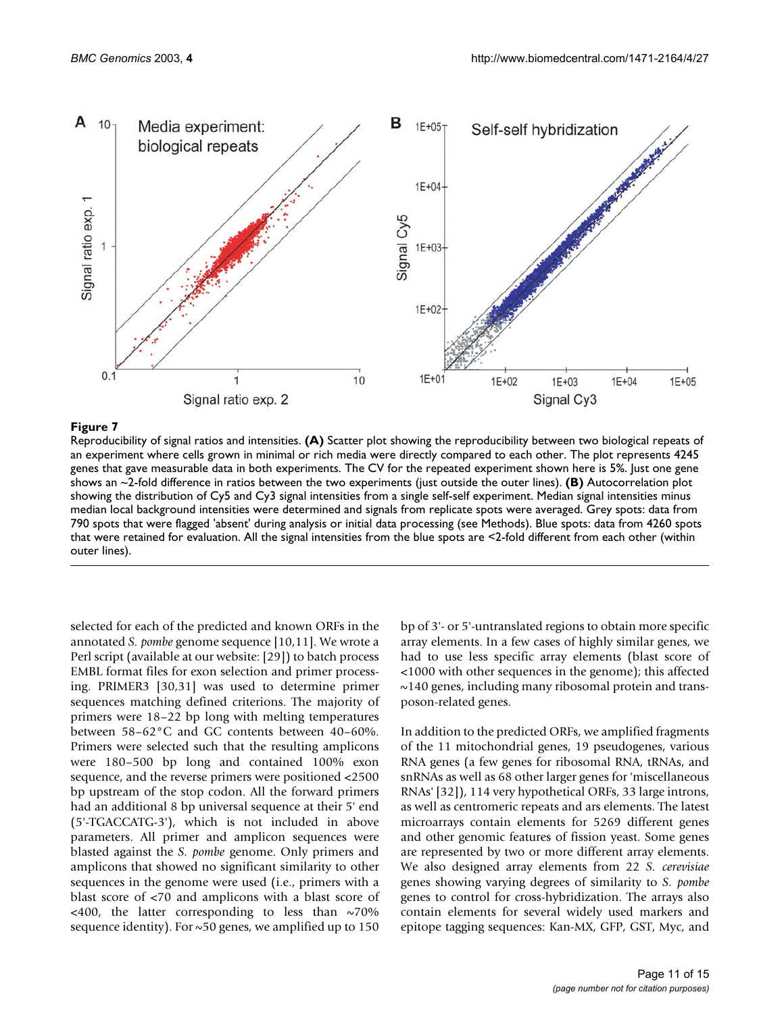

Reproducibility of signal ratios and intensities. **(A)** Scatter plot showing the reproducibility between two biological repeats of an experiment where cells grown in minimal or rich media were directly compared to each other. The plot represents 4245 genes that gave measurable data in both experiments. The CV for the repeated experiment shown here is 5%. Just one gene shows an ~2-fold difference in ratios between the two experiments (just outside the outer lines). **(B)** Autocorrelation plot showing the distribution of Cy5 and Cy3 signal intensities from a single self-self experiment. Median signal intensities minus median local background intensities were determined and signals from replicate spots were averaged. Grey spots: data from 790 spots that were flagged 'absent' during analysis or initial data processing (see Methods). Blue spots: data from 4260 spots that were retained for evaluation. All the signal intensities from the blue spots are <2-fold different from each other (within outer lines).

selected for each of the predicted and known ORFs in the annotated *S. pombe* genome sequence [10,11]. We wrote a Perl script (available at our website: [29]) to batch process EMBL format files for exon selection and primer processing. PRIMER3 [30,31] was used to determine primer sequences matching defined criterions. The majority of primers were 18–22 bp long with melting temperatures between 58–62°C and GC contents between 40–60%. Primers were selected such that the resulting amplicons were 180–500 bp long and contained 100% exon sequence, and the reverse primers were positioned <2500 bp upstream of the stop codon. All the forward primers had an additional 8 bp universal sequence at their 5' end (5'-TGACCATG-3'), which is not included in above parameters. All primer and amplicon sequences were blasted against the *S. pombe* genome. Only primers and amplicons that showed no significant similarity to other sequences in the genome were used (i.e., primers with a blast score of <70 and amplicons with a blast score of  $<400$ , the latter corresponding to less than  $\sim70\%$ sequence identity). For ~50 genes, we amplified up to 150

bp of 3'- or 5'-untranslated regions to obtain more specific array elements. In a few cases of highly similar genes, we had to use less specific array elements (blast score of <1000 with other sequences in the genome); this affected  $\sim$ 140 genes, including many ribosomal protein and transposon-related genes.

In addition to the predicted ORFs, we amplified fragments of the 11 mitochondrial genes, 19 pseudogenes, various RNA genes (a few genes for ribosomal RNA, tRNAs, and snRNAs as well as 68 other larger genes for 'miscellaneous RNAs' [32]), 114 very hypothetical ORFs, 33 large introns, as well as centromeric repeats and ars elements. The latest microarrays contain elements for 5269 different genes and other genomic features of fission yeast. Some genes are represented by two or more different array elements. We also designed array elements from 22 *S. cerevisiae* genes showing varying degrees of similarity to *S. pombe* genes to control for cross-hybridization. The arrays also contain elements for several widely used markers and epitope tagging sequences: Kan-MX, GFP, GST, Myc, and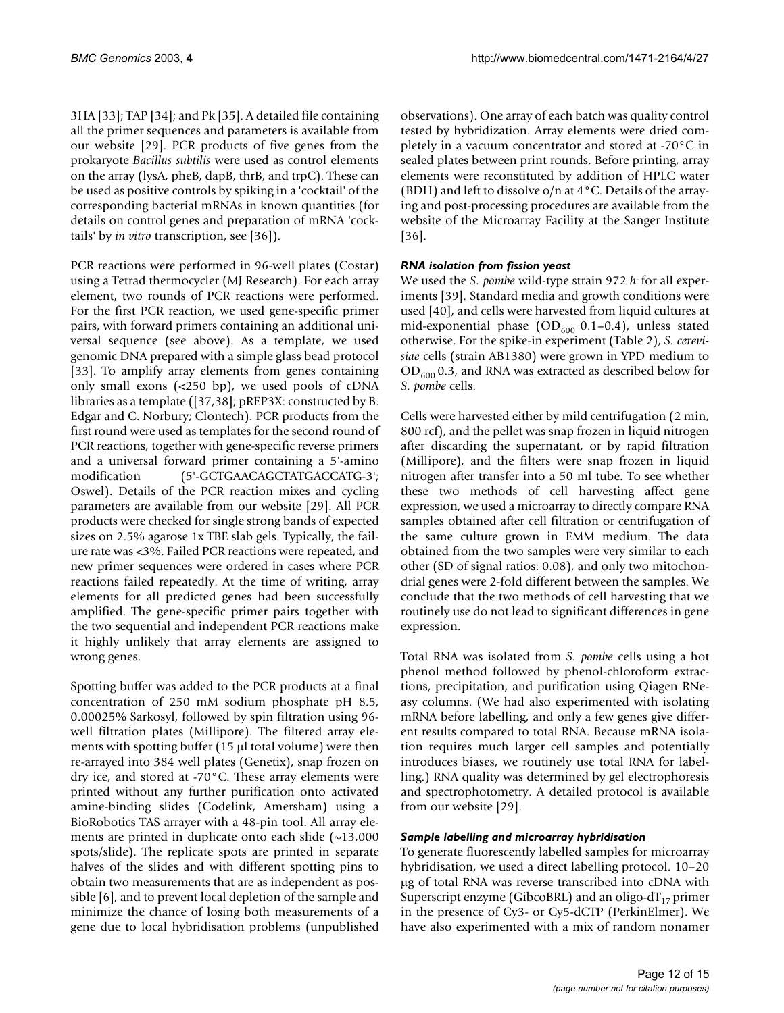3HA [33]; TAP [34]; and Pk [35]. A detailed file containing all the primer sequences and parameters is available from our website [29]. PCR products of five genes from the prokaryote *Bacillus subtilis* were used as control elements on the array (lysA, pheB, dapB, thrB, and trpC). These can be used as positive controls by spiking in a 'cocktail' of the corresponding bacterial mRNAs in known quantities (for details on control genes and preparation of mRNA 'cocktails' by *in vitro* transcription, see [36]).

PCR reactions were performed in 96-well plates (Costar) using a Tetrad thermocycler (MJ Research). For each array element, two rounds of PCR reactions were performed. For the first PCR reaction, we used gene-specific primer pairs, with forward primers containing an additional universal sequence (see above). As a template, we used genomic DNA prepared with a simple glass bead protocol [33]. To amplify array elements from genes containing only small exons (<250 bp), we used pools of cDNA libraries as a template ([37,38]; pREP3X: constructed by B. Edgar and C. Norbury; Clontech). PCR products from the first round were used as templates for the second round of PCR reactions, together with gene-specific reverse primers and a universal forward primer containing a 5'-amino modification  $(5'-GCTGAACAGCTATGACATG-3)$ ; Oswel). Details of the PCR reaction mixes and cycling parameters are available from our website [29]. All PCR products were checked for single strong bands of expected sizes on 2.5% agarose 1x TBE slab gels. Typically, the failure rate was <3%. Failed PCR reactions were repeated, and new primer sequences were ordered in cases where PCR reactions failed repeatedly. At the time of writing, array elements for all predicted genes had been successfully amplified. The gene-specific primer pairs together with the two sequential and independent PCR reactions make it highly unlikely that array elements are assigned to wrong genes.

Spotting buffer was added to the PCR products at a final concentration of 250 mM sodium phosphate pH 8.5, 0.00025% Sarkosyl, followed by spin filtration using 96 well filtration plates (Millipore). The filtered array elements with spotting buffer  $(15 \mu)$  total volume) were then re-arrayed into 384 well plates (Genetix), snap frozen on dry ice, and stored at -70°C. These array elements were printed without any further purification onto activated amine-binding slides (Codelink, Amersham) using a BioRobotics TAS arrayer with a 48-pin tool. All array elements are printed in duplicate onto each slide  $(\sim 13,000$ spots/slide). The replicate spots are printed in separate halves of the slides and with different spotting pins to obtain two measurements that are as independent as possible [6], and to prevent local depletion of the sample and minimize the chance of losing both measurements of a gene due to local hybridisation problems (unpublished

observations). One array of each batch was quality control tested by hybridization. Array elements were dried completely in a vacuum concentrator and stored at -70°C in sealed plates between print rounds. Before printing, array elements were reconstituted by addition of HPLC water (BDH) and left to dissolve o/n at 4°C. Details of the arraying and post-processing procedures are available from the website of the Microarray Facility at the Sanger Institute [36].

#### *RNA isolation from fission yeast*

We used the *S. pombe* wild-type strain 972 *h*- for all experiments [39]. Standard media and growth conditions were used [40], and cells were harvested from liquid cultures at mid-exponential phase  $(OD_{600} 0.1-0.4)$ , unless stated otherwise. For the spike-in experiment (Table [2](#page-8-1)), *S. cerevisiae* cells (strain AB1380) were grown in YPD medium to  $OD_{600}$  0.3, and RNA was extracted as described below for *S. pombe* cells.

Cells were harvested either by mild centrifugation (2 min, 800 rcf), and the pellet was snap frozen in liquid nitrogen after discarding the supernatant, or by rapid filtration (Millipore), and the filters were snap frozen in liquid nitrogen after transfer into a 50 ml tube. To see whether these two methods of cell harvesting affect gene expression, we used a microarray to directly compare RNA samples obtained after cell filtration or centrifugation of the same culture grown in EMM medium. The data obtained from the two samples were very similar to each other (SD of signal ratios: 0.08), and only two mitochondrial genes were 2-fold different between the samples. We conclude that the two methods of cell harvesting that we routinely use do not lead to significant differences in gene expression.

Total RNA was isolated from *S. pombe* cells using a hot phenol method followed by phenol-chloroform extractions, precipitation, and purification using Qiagen RNeasy columns. (We had also experimented with isolating mRNA before labelling, and only a few genes give different results compared to total RNA. Because mRNA isolation requires much larger cell samples and potentially introduces biases, we routinely use total RNA for labelling.) RNA quality was determined by gel electrophoresis and spectrophotometry. A detailed protocol is available from our website [29].

#### *Sample labelling and microarray hybridisation*

To generate fluorescently labelled samples for microarray hybridisation, we used a direct labelling protocol. 10–20 µg of total RNA was reverse transcribed into cDNA with Superscript enzyme (GibcoBRL) and an oligo-dT<sub>17</sub> primer in the presence of Cy3- or Cy5-dCTP (PerkinElmer). We have also experimented with a mix of random nonamer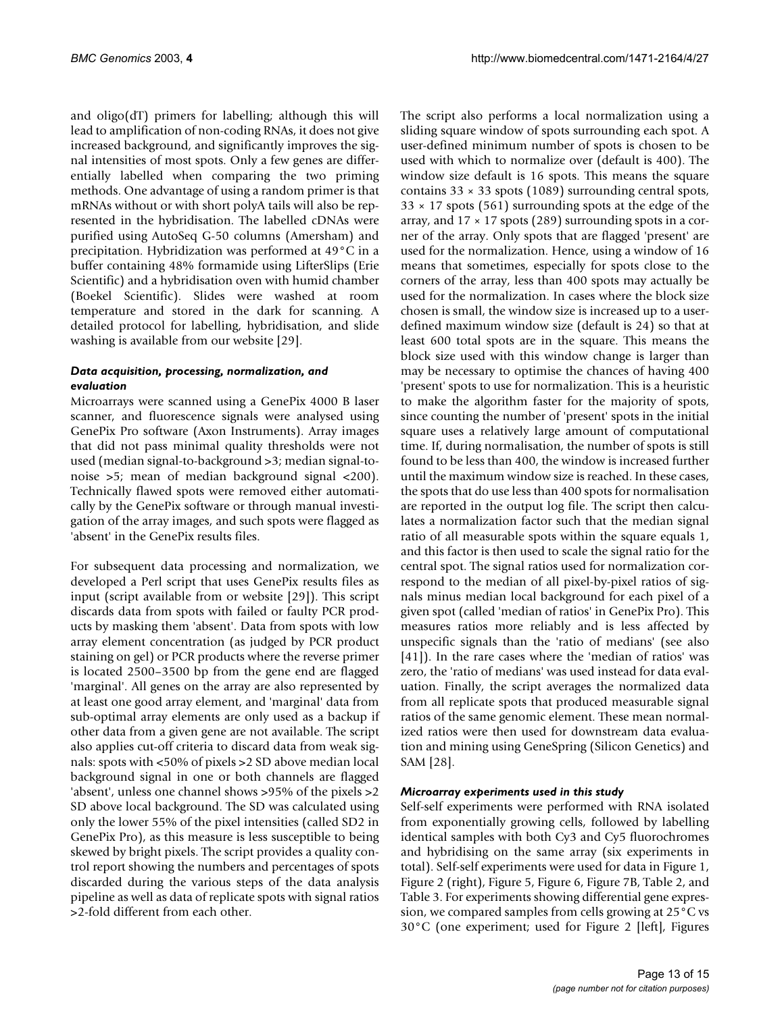and oligo(dT) primers for labelling; although this will lead to amplification of non-coding RNAs, it does not give increased background, and significantly improves the signal intensities of most spots. Only a few genes are differentially labelled when comparing the two priming methods. One advantage of using a random primer is that mRNAs without or with short polyA tails will also be represented in the hybridisation. The labelled cDNAs were purified using AutoSeq G-50 columns (Amersham) and precipitation. Hybridization was performed at 49°C in a buffer containing 48% formamide using LifterSlips (Erie Scientific) and a hybridisation oven with humid chamber (Boekel Scientific). Slides were washed at room temperature and stored in the dark for scanning. A detailed protocol for labelling, hybridisation, and slide washing is available from our website [29].

#### *Data acquisition, processing, normalization, and evaluation*

Microarrays were scanned using a GenePix 4000 B laser scanner, and fluorescence signals were analysed using GenePix Pro software (Axon Instruments). Array images that did not pass minimal quality thresholds were not used (median signal-to-background >3; median signal-tonoise >5; mean of median background signal <200). Technically flawed spots were removed either automatically by the GenePix software or through manual investigation of the array images, and such spots were flagged as 'absent' in the GenePix results files.

For subsequent data processing and normalization, we developed a Perl script that uses GenePix results files as input (script available from or website [29]). This script discards data from spots with failed or faulty PCR products by masking them 'absent'. Data from spots with low array element concentration (as judged by PCR product staining on gel) or PCR products where the reverse primer is located 2500–3500 bp from the gene end are flagged 'marginal'. All genes on the array are also represented by at least one good array element, and 'marginal' data from sub-optimal array elements are only used as a backup if other data from a given gene are not available. The script also applies cut-off criteria to discard data from weak signals: spots with <50% of pixels >2 SD above median local background signal in one or both channels are flagged 'absent', unless one channel shows >95% of the pixels >2 SD above local background. The SD was calculated using only the lower 55% of the pixel intensities (called SD2 in GenePix Pro), as this measure is less susceptible to being skewed by bright pixels. The script provides a quality control report showing the numbers and percentages of spots discarded during the various steps of the data analysis pipeline as well as data of replicate spots with signal ratios >2-fold different from each other.

The script also performs a local normalization using a sliding square window of spots surrounding each spot. A user-defined minimum number of spots is chosen to be used with which to normalize over (default is 400). The window size default is 16 spots. This means the square contains  $33 \times 33$  spots (1089) surrounding central spots,  $33 \times 17$  spots (561) surrounding spots at the edge of the array, and  $17 \times 17$  spots (289) surrounding spots in a corner of the array. Only spots that are flagged 'present' are used for the normalization. Hence, using a window of 16 means that sometimes, especially for spots close to the corners of the array, less than 400 spots may actually be used for the normalization. In cases where the block size chosen is small, the window size is increased up to a userdefined maximum window size (default is 24) so that at least 600 total spots are in the square. This means the block size used with this window change is larger than may be necessary to optimise the chances of having 400 'present' spots to use for normalization. This is a heuristic to make the algorithm faster for the majority of spots, since counting the number of 'present' spots in the initial square uses a relatively large amount of computational time. If, during normalisation, the number of spots is still found to be less than 400, the window is increased further until the maximum window size is reached. In these cases, the spots that do use less than 400 spots for normalisation are reported in the output log file. The script then calculates a normalization factor such that the median signal ratio of all measurable spots within the square equals 1, and this factor is then used to scale the signal ratio for the central spot. The signal ratios used for normalization correspond to the median of all pixel-by-pixel ratios of signals minus median local background for each pixel of a given spot (called 'median of ratios' in GenePix Pro). This measures ratios more reliably and is less affected by unspecific signals than the 'ratio of medians' (see also [41]). In the rare cases where the 'median of ratios' was zero, the 'ratio of medians' was used instead for data evaluation. Finally, the script averages the normalized data from all replicate spots that produced measurable signal ratios of the same genomic element. These mean normalized ratios were then used for downstream data evaluation and mining using GeneSpring (Silicon Genetics) and SAM [28].

## *Microarray experiments used in this study*

Self-self experiments were performed with RNA isolated from exponentially growing cells, followed by labelling identical samples with both Cy3 and Cy5 fluorochromes and hybridising on the same array (six experiments in total). Self-self experiments were used for data in Figure [1,](#page-2-0) Figure [2](#page-4-0) (right), Figure 5, Figure [6,](#page-8-0) Figure 7B, Table [2](#page-8-1), and Table [3](#page-9-0). For experiments showing differential gene expression, we compared samples from cells growing at 25°C vs 30°C (one experiment; used for Figure [2](#page-4-0) [left], Figures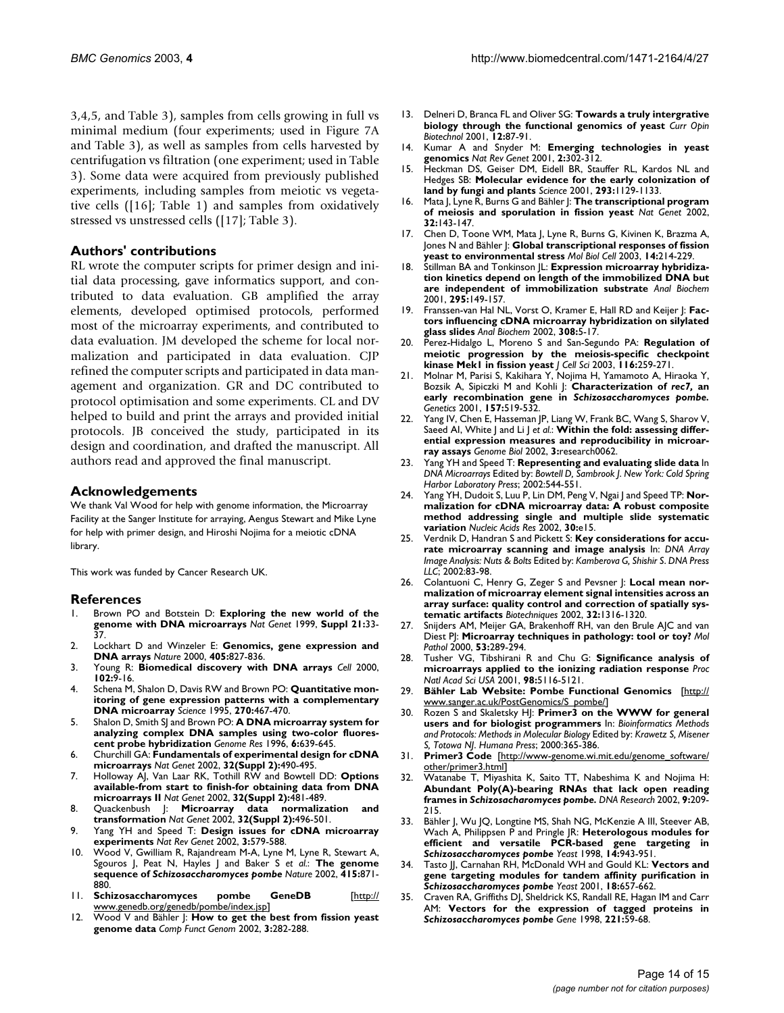[3,](#page-5-0)4,5, and Table [3\)](#page-9-0), samples from cells growing in full vs minimal medium (four experiments; used in Figure 7A and Table [3](#page-9-0)), as well as samples from cells harvested by centrifugation vs filtration (one experiment; used in Table [3\)](#page-9-0). Some data were acquired from previously published experiments, including samples from meiotic vs vegetative cells ([16]; Table [1](#page-3-0)) and samples from oxidatively stressed vs unstressed cells ([17]; Table [3\)](#page-9-0).

#### **Authors' contributions**

RL wrote the computer scripts for primer design and initial data processing, gave informatics support, and contributed to data evaluation. GB amplified the array elements, developed optimised protocols, performed most of the microarray experiments, and contributed to data evaluation. JM developed the scheme for local normalization and participated in data evaluation. CJP refined the computer scripts and participated in data management and organization. GR and DC contributed to protocol optimisation and some experiments. CL and DV helped to build and print the arrays and provided initial protocols. JB conceived the study, participated in its design and coordination, and drafted the manuscript. All authors read and approved the final manuscript.

#### **Acknowledgements**

We thank Val Wood for help with genome information, the Microarray Facility at the Sanger Institute for arraying, Aengus Stewart and Mike Lyne for help with primer design, and Hiroshi Nojima for a meiotic cDNA library.

This work was funded by Cancer Research UK.

#### **References**

- 1. Brown PO and Botstein D: **[Exploring the new world of the](http://www.ncbi.nlm.nih.gov/entrez/query.fcgi?cmd=Retrieve&db=PubMed&dopt=Abstract&list_uids=10.1038/4462) [genome with DNA microarrays](http://www.ncbi.nlm.nih.gov/entrez/query.fcgi?cmd=Retrieve&db=PubMed&dopt=Abstract&list_uids=10.1038/4462)** *Nat Genet* 1999, **Suppl 21:**33- 37.
- 2. Lockhart D and Winzeler E: **[Genomics, gene expression and](http://www.ncbi.nlm.nih.gov/entrez/query.fcgi?cmd=Retrieve&db=PubMed&dopt=Abstract&list_uids=10866209) [DNA arrays](http://www.ncbi.nlm.nih.gov/entrez/query.fcgi?cmd=Retrieve&db=PubMed&dopt=Abstract&list_uids=10866209)** *Nature* 2000, **405:**827-836.
- 3. Young R: **[Biomedical discovery with DNA arrays](http://www.ncbi.nlm.nih.gov/entrez/query.fcgi?cmd=Retrieve&db=PubMed&dopt=Abstract&list_uids=10929708)** *Cell* 2000, **102:**9-16.
- 4. Schena M, Shalon D, Davis RW and Brown PO: **[Quantitative mon](http://www.ncbi.nlm.nih.gov/entrez/query.fcgi?cmd=Retrieve&db=PubMed&dopt=Abstract&list_uids=7569999)[itoring of gene expression patterns with a complementary](http://www.ncbi.nlm.nih.gov/entrez/query.fcgi?cmd=Retrieve&db=PubMed&dopt=Abstract&list_uids=7569999) [DNA microarray](http://www.ncbi.nlm.nih.gov/entrez/query.fcgi?cmd=Retrieve&db=PubMed&dopt=Abstract&list_uids=7569999)** *Science* 1995, **270:**467-470.
- 5. Shalon D, Smith SJ and Brown PO: **[A DNA microarray system for](http://www.ncbi.nlm.nih.gov/entrez/query.fcgi?cmd=Retrieve&db=PubMed&dopt=Abstract&list_uids=8796352) [analyzing complex DNA samples using two-color fluores](http://www.ncbi.nlm.nih.gov/entrez/query.fcgi?cmd=Retrieve&db=PubMed&dopt=Abstract&list_uids=8796352)[cent probe hybridization](http://www.ncbi.nlm.nih.gov/entrez/query.fcgi?cmd=Retrieve&db=PubMed&dopt=Abstract&list_uids=8796352)** *Genome Res* 1996, **6:**639-645.
- 6. Churchill GA: **[Fundamentals of experimental design for cDNA](http://www.ncbi.nlm.nih.gov/entrez/query.fcgi?cmd=Retrieve&db=PubMed&dopt=Abstract&list_uids=12454643) [microarrays](http://www.ncbi.nlm.nih.gov/entrez/query.fcgi?cmd=Retrieve&db=PubMed&dopt=Abstract&list_uids=12454643)** *Nat Genet* 2002, **32(Suppl 2):**490-495.
- 7. Holloway AJ, Van Laar RK, Tothill RW and Bowtell DD: **[Options](http://www.ncbi.nlm.nih.gov/entrez/query.fcgi?cmd=Retrieve&db=PubMed&dopt=Abstract&list_uids=12454642) [available-from start to finish-for obtaining data from DNA](http://www.ncbi.nlm.nih.gov/entrez/query.fcgi?cmd=Retrieve&db=PubMed&dopt=Abstract&list_uids=12454642)**
- **[microarrays II](http://www.ncbi.nlm.nih.gov/entrez/query.fcgi?cmd=Retrieve&db=PubMed&dopt=Abstract&list_uids=12454642)** *Nat Genet* 2002, **32(Suppl 2):**481-489. 8. Quackenbush J: **[Microarray data normalization and](http://www.ncbi.nlm.nih.gov/entrez/query.fcgi?cmd=Retrieve&db=PubMed&dopt=Abstract&list_uids=12454644) [transformation](http://www.ncbi.nlm.nih.gov/entrez/query.fcgi?cmd=Retrieve&db=PubMed&dopt=Abstract&list_uids=12454644)** *Nat Genet* 2002, **32(Suppl 2):**496-501.
- 9. Yang YH and Speed T: **[Design issues for cDNA microarray](http://www.ncbi.nlm.nih.gov/entrez/query.fcgi?cmd=Retrieve&db=PubMed&dopt=Abstract&list_uids=12154381) [experiments](http://www.ncbi.nlm.nih.gov/entrez/query.fcgi?cmd=Retrieve&db=PubMed&dopt=Abstract&list_uids=12154381)** *Nat Rev Genet* 2002, **3:**579-588.
- 10. Wood V, Gwilliam R, Rajandream M-A, Lyne M, Lyne R, Stewart A, Sgouros J, Peat N, Hayles J and Baker S *et al.*: **The genome sequence of** *Schizosaccharomyces pombe Nature* 2002, **415:**871- 880.
- 11. **Schizosaccharomyces pombe GeneDB** [[http://](http://www.genedb.org/genedb/pombe/index.jsp) [www.genedb.org/genedb/pombe/index.jsp\]](http://www.genedb.org/genedb/pombe/index.jsp)
- 12. Wood V and Bähler J: **How to get the best from fission yeast genome data** *Comp Funct Genom* 2002, **3:**282-288.
- 13. Delneri D, Branca FL and Oliver SG: **[Towards a truly intergrative](http://www.ncbi.nlm.nih.gov/entrez/query.fcgi?cmd=Retrieve&db=PubMed&dopt=Abstract&list_uids=11167079) [biology through the functional genomics of yeast](http://www.ncbi.nlm.nih.gov/entrez/query.fcgi?cmd=Retrieve&db=PubMed&dopt=Abstract&list_uids=11167079)** *Curr Opin Biotechnol* 2001, **12:**87-91.
- 14. Kumar A and Snyder M: **[Emerging technologies in yeast](http://www.ncbi.nlm.nih.gov/entrez/query.fcgi?cmd=Retrieve&db=PubMed&dopt=Abstract&list_uids=11283702) [genomics](http://www.ncbi.nlm.nih.gov/entrez/query.fcgi?cmd=Retrieve&db=PubMed&dopt=Abstract&list_uids=11283702)** *Nat Rev Genet* 2001, **2:**302-312.
- 15. Heckman DS, Geiser DM, Eidell BR, Stauffer RL, Kardos NL and Hedges SB: **[Molecular evidence for the early colonization of](http://www.ncbi.nlm.nih.gov/entrez/query.fcgi?cmd=Retrieve&db=PubMed&dopt=Abstract&list_uids=11498589) [land by fungi and plants](http://www.ncbi.nlm.nih.gov/entrez/query.fcgi?cmd=Retrieve&db=PubMed&dopt=Abstract&list_uids=11498589)** *Science* 2001, **293:**1129-1133.
- Mata J, Lyne R, Burns G and Bähler J: [The transcriptional program](http://www.ncbi.nlm.nih.gov/entrez/query.fcgi?cmd=Retrieve&db=PubMed&dopt=Abstract&list_uids=12161753) **[of meiosis and sporulation in fission yeast](http://www.ncbi.nlm.nih.gov/entrez/query.fcgi?cmd=Retrieve&db=PubMed&dopt=Abstract&list_uids=12161753)** *Nat Genet* 2002, **32:**143-147.
- 17. Chen D, Toone WM, Mata J, Lyne R, Burns G, Kivinen K, Brazma A, Jones N and Bähler J: **[Global transcriptional responses of fission](http://www.ncbi.nlm.nih.gov/entrez/query.fcgi?cmd=Retrieve&db=PubMed&dopt=Abstract&list_uids=12529438) [yeast to environmental stress](http://www.ncbi.nlm.nih.gov/entrez/query.fcgi?cmd=Retrieve&db=PubMed&dopt=Abstract&list_uids=12529438)** *Mol Biol Cell* 2003, **14:**214-229.
- 18. Stillman BA and Tonkinson JL: **[Expression microarray hybridiza](http://www.ncbi.nlm.nih.gov/entrez/query.fcgi?cmd=Retrieve&db=PubMed&dopt=Abstract&list_uids=11488616)[tion kinetics depend on length of the immobilized DNA but](http://www.ncbi.nlm.nih.gov/entrez/query.fcgi?cmd=Retrieve&db=PubMed&dopt=Abstract&list_uids=11488616) [are independent of immobilization substrate](http://www.ncbi.nlm.nih.gov/entrez/query.fcgi?cmd=Retrieve&db=PubMed&dopt=Abstract&list_uids=11488616)** *Anal Biochem* 2001, **295:**149-157.
- 19. Franssen-van Hal NL, Vorst O, Kramer E, Hall RD and Keijer J: **[Fac](http://www.ncbi.nlm.nih.gov/entrez/query.fcgi?cmd=Retrieve&db=PubMed&dopt=Abstract&list_uids=12234458)[tors influencing cDNA microarray hybridization on silylated](http://www.ncbi.nlm.nih.gov/entrez/query.fcgi?cmd=Retrieve&db=PubMed&dopt=Abstract&list_uids=12234458) [glass slides](http://www.ncbi.nlm.nih.gov/entrez/query.fcgi?cmd=Retrieve&db=PubMed&dopt=Abstract&list_uids=12234458)** *Anal Biochem* 2002, **308:**5-17.
- 20. Perez-Hidalgo L, Moreno S and San-Segundo PA: **[Regulation of](http://www.ncbi.nlm.nih.gov/entrez/query.fcgi?cmd=Retrieve&db=PubMed&dopt=Abstract&list_uids=12482912) [meiotic progression by the meiosis-specific checkpoint](http://www.ncbi.nlm.nih.gov/entrez/query.fcgi?cmd=Retrieve&db=PubMed&dopt=Abstract&list_uids=12482912) [kinase Mek1 in fission yeast](http://www.ncbi.nlm.nih.gov/entrez/query.fcgi?cmd=Retrieve&db=PubMed&dopt=Abstract&list_uids=12482912)** *J Cell Sci* 2003, **116:**259-271.
- 21. Molnar M, Parisi S, Kakihara Y, Nojima H, Yamamoto A, Hiraoka Y, Bozsik A, Sipiczki M and Kohli J: **Characterization of** *rec7,* **an early recombination gene in** *Schizosaccharomyces pombe. Genetics* 2001, **157:**519-532.
- 22. Yang IV, Chen E, Hasseman JP, Liang W, Frank BC, Wang S, Sharov V, Saeed AI, White J and Li J *et al.*: **[Within the fold: assessing differ](http://www.ncbi.nlm.nih.gov/entrez/query.fcgi?cmd=Retrieve&db=PubMed&dopt=Abstract&list_uids=12429061)[ential expression measures and reproducibility in microar](http://www.ncbi.nlm.nih.gov/entrez/query.fcgi?cmd=Retrieve&db=PubMed&dopt=Abstract&list_uids=12429061)[ray assays](http://www.ncbi.nlm.nih.gov/entrez/query.fcgi?cmd=Retrieve&db=PubMed&dopt=Abstract&list_uids=12429061)** *Genome Biol* 2002, **3:**research0062.
- 23. Yang YH and Speed T: **Representing and evaluating slide data** In *DNA Microarrays* Edited by: *Bowtell D, Sambrook J*. *New York: Cold Spring Harbor Laboratory Press*; 2002:544-551.
- 24. Yang YH, Dudoit S, Luu P, Lin DM, Peng V, Ngai J and Speed TP: **[Nor](http://www.ncbi.nlm.nih.gov/entrez/query.fcgi?cmd=Retrieve&db=PubMed&dopt=Abstract&list_uids=11842121)[malization for cDNA microarray data: A robust composite](http://www.ncbi.nlm.nih.gov/entrez/query.fcgi?cmd=Retrieve&db=PubMed&dopt=Abstract&list_uids=11842121) method addressing single and multiple slide systematic [variation](http://www.ncbi.nlm.nih.gov/entrez/query.fcgi?cmd=Retrieve&db=PubMed&dopt=Abstract&list_uids=11842121)** *Nucleic Acids Res* 2002, **30:**e15.
- 25. Verdnik D, Handran S and Pickett S: **Key considerations for accurate microarray scanning and image analysis** In: *DNA Array Image Analysis: Nuts & Bolts* Edited by: *Kamberova G, Shishir S*. *DNA Press LLC*; 2002:83-98.
- 26. Colantuoni C, Henry G, Zeger S and Pevsner J: **[Local mean nor](http://www.ncbi.nlm.nih.gov/entrez/query.fcgi?cmd=Retrieve&db=PubMed&dopt=Abstract&list_uids=12074162)[malization of microarray element signal intensities across an](http://www.ncbi.nlm.nih.gov/entrez/query.fcgi?cmd=Retrieve&db=PubMed&dopt=Abstract&list_uids=12074162) array surface: quality control and correction of spatially sys[tematic artifacts](http://www.ncbi.nlm.nih.gov/entrez/query.fcgi?cmd=Retrieve&db=PubMed&dopt=Abstract&list_uids=12074162)** *Biotechniques* 2002, **32:**1316-1320.
- 27. Snijders AM, Meijer GA, Brakenhoff RH, van den Brule AJC and van Diest PJ: **[Microarray techniques in pathology: tool or toy?](http://www.ncbi.nlm.nih.gov/entrez/query.fcgi?cmd=Retrieve&db=PubMed&dopt=Abstract&list_uids=11193046)** *Mol Pathol* 2000, **53:**289-294.
- 28. Tusher VG, Tibshirani R and Chu G: **[Significance analysis of](http://www.ncbi.nlm.nih.gov/entrez/query.fcgi?cmd=Retrieve&db=PubMed&dopt=Abstract&list_uids=11309499) [microarrays applied to the ionizing radiation response](http://www.ncbi.nlm.nih.gov/entrez/query.fcgi?cmd=Retrieve&db=PubMed&dopt=Abstract&list_uids=11309499)** *Proc Natl Acad Sci USA* 2001, **98:**5116-5121.
- 29. **Bähler Lab Website: Pombe Functional Genomics** [\[http://](http://www.sanger.ac.uk/PostGenomics/S_pombe/) [www.sanger.ac.uk/PostGenomics/S\\_pombe/\]](http://www.sanger.ac.uk/PostGenomics/S_pombe/)
- 30. Rozen S and Skaletsky HJ: **Primer3 on the WWW for general users and for biologist programmers** In: *Bioinformatics Methods and Protocols: Methods in Molecular Biology* Edited by: *Krawetz S, Misener S, Totowa NJ*. *Humana Press*; 2000:365-386.
- 31. **Primer3 Code** [\[http://www-genome.wi.mit.edu/genome\\_software/](http://www-genome.wi.mit.edu/genome_software/other/primer3.html) [other/primer3.html\]](http://www-genome.wi.mit.edu/genome_software/other/primer3.html)
- 32. Watanabe T, Miyashita K, Saito TT, Nabeshima K and Nojima H: **Abundant Poly(A)-bearing RNAs that lack open reading frames in** *Schizosacharomyces pombe. DNA Research* 2002, **9:**209- 215.
- 33. Bähler J, Wu JQ, Longtine MS, Shah NG, McKenzie A III, Steever AB, Wach A, Philippsen P and Pringle JR: **Heterologous modules for efficient and versatile PCR-based gene targeting in** *Schizosaccharomyces pombe Yeast* 1998, **14:**943-951.
- 34. Tasto JJ, Carnahan RH, McDonald WH and Gould KL: **Vectors and gene targeting modules for tandem affinity purification in** *Schizosaccharomyces pombe Yeast* 2001, **18:**657-662.
- 35. Craven RA, Griffiths DJ, Sheldrick KS, Randall RE, Hagan IM and Carr AM: **Vectors for the expression of tagged proteins in** *Schizosaccharomyces pombe Gene* 1998, **221:**59-68.